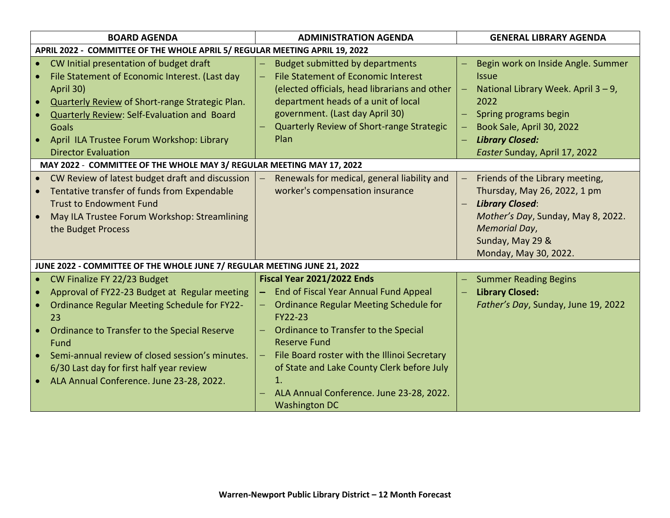| <b>BOARD AGENDA</b>                                                                                                                                                                                                                                                                                                                                             | <b>ADMINISTRATION AGENDA</b>                                                                                                                                                                                                                                                                                                                                                       | <b>GENERAL LIBRARY AGENDA</b>                                                                                                                                                                                                  |  |  |  |  |
|-----------------------------------------------------------------------------------------------------------------------------------------------------------------------------------------------------------------------------------------------------------------------------------------------------------------------------------------------------------------|------------------------------------------------------------------------------------------------------------------------------------------------------------------------------------------------------------------------------------------------------------------------------------------------------------------------------------------------------------------------------------|--------------------------------------------------------------------------------------------------------------------------------------------------------------------------------------------------------------------------------|--|--|--|--|
| APRIL 2022 - COMMITTEE OF THE WHOLE APRIL 5/ REGULAR MEETING APRIL 19, 2022                                                                                                                                                                                                                                                                                     |                                                                                                                                                                                                                                                                                                                                                                                    |                                                                                                                                                                                                                                |  |  |  |  |
| CW Initial presentation of budget draft<br>File Statement of Economic Interest. (Last day<br>April 30)<br><b>Quarterly Review of Short-range Strategic Plan.</b><br>$\bullet$<br><b>Quarterly Review: Self-Evaluation and Board</b><br>Goals<br>April ILA Trustee Forum Workshop: Library<br><b>Director Evaluation</b>                                         | <b>Budget submitted by departments</b><br>File Statement of Economic Interest<br>$\equiv$<br>(elected officials, head librarians and other<br>department heads of a unit of local<br>government. (Last day April 30)<br>Quarterly Review of Short-range Strategic<br>Plan                                                                                                          | Begin work on Inside Angle. Summer<br><b>Issue</b><br>National Library Week. April 3 - 9,<br>$\equiv$<br>2022<br>Spring programs begin<br>Book Sale, April 30, 2022<br><b>Library Closed:</b><br>Easter Sunday, April 17, 2022 |  |  |  |  |
| MAY 2022 - COMMITTEE OF THE WHOLE MAY 3/ REGULAR MEETING MAY 17, 2022                                                                                                                                                                                                                                                                                           |                                                                                                                                                                                                                                                                                                                                                                                    |                                                                                                                                                                                                                                |  |  |  |  |
| CW Review of latest budget draft and discussion<br>$\bullet$<br>Tentative transfer of funds from Expendable<br><b>Trust to Endowment Fund</b><br>May ILA Trustee Forum Workshop: Streamlining<br>the Budget Process                                                                                                                                             | Renewals for medical, general liability and<br>$\overline{\phantom{0}}$<br>worker's compensation insurance                                                                                                                                                                                                                                                                         | Friends of the Library meeting,<br>Thursday, May 26, 2022, 1 pm<br><b>Library Closed:</b><br>Mother's Day, Sunday, May 8, 2022.<br><b>Memorial Day,</b><br>Sunday, May 29 &<br>Monday, May 30, 2022.                           |  |  |  |  |
| JUNE 2022 - COMMITTEE OF THE WHOLE JUNE 7/ REGULAR MEETING JUNE 21, 2022                                                                                                                                                                                                                                                                                        |                                                                                                                                                                                                                                                                                                                                                                                    |                                                                                                                                                                                                                                |  |  |  |  |
| CW Finalize FY 22/23 Budget<br>$\bullet$<br>Approval of FY22-23 Budget at Regular meeting<br>Ordinance Regular Meeting Schedule for FY22-<br>23<br>Ordinance to Transfer to the Special Reserve<br>$\bullet$<br>Fund<br>Semi-annual review of closed session's minutes.<br>6/30 Last day for first half year review<br>ALA Annual Conference. June 23-28, 2022. | <b>Fiscal Year 2021/2022 Ends</b><br>End of Fiscal Year Annual Fund Appeal<br>Ordinance Regular Meeting Schedule for<br>FY22-23<br>Ordinance to Transfer to the Special<br><b>Reserve Fund</b><br>File Board roster with the Illinoi Secretary<br>$\equiv$<br>of State and Lake County Clerk before July<br>1.<br>ALA Annual Conference. June 23-28, 2022.<br><b>Washington DC</b> | <b>Summer Reading Begins</b><br><b>Library Closed:</b><br>Father's Day, Sunday, June 19, 2022                                                                                                                                  |  |  |  |  |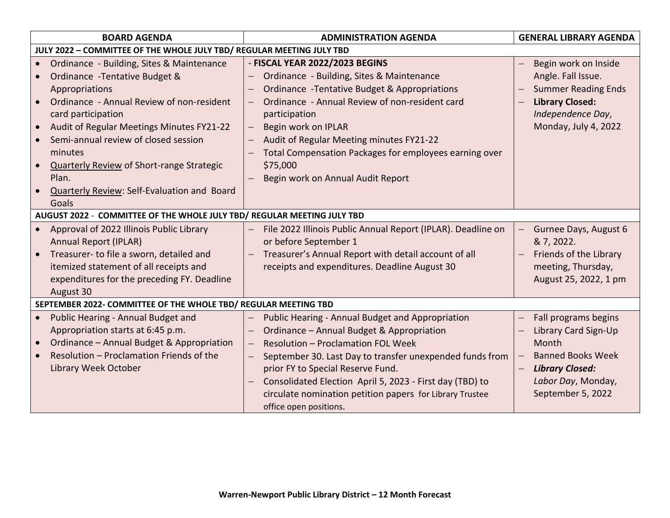| <b>BOARD AGENDA</b>                                                   |                                                                                                                                                                                                                                                                                                                                                                                              | <b>ADMINISTRATION AGENDA</b>                                                                                                                                                                                                                                                                                                                                                                              | <b>GENERAL LIBRARY AGENDA</b>                                                                                                                          |  |  |
|-----------------------------------------------------------------------|----------------------------------------------------------------------------------------------------------------------------------------------------------------------------------------------------------------------------------------------------------------------------------------------------------------------------------------------------------------------------------------------|-----------------------------------------------------------------------------------------------------------------------------------------------------------------------------------------------------------------------------------------------------------------------------------------------------------------------------------------------------------------------------------------------------------|--------------------------------------------------------------------------------------------------------------------------------------------------------|--|--|
| JULY 2022 - COMMITTEE OF THE WHOLE JULY TBD/ REGULAR MEETING JULY TBD |                                                                                                                                                                                                                                                                                                                                                                                              |                                                                                                                                                                                                                                                                                                                                                                                                           |                                                                                                                                                        |  |  |
| $\bullet$<br>$\bullet$                                                | Ordinance - Building, Sites & Maintenance<br>Ordinance - Tentative Budget &<br>Appropriations<br>Ordinance - Annual Review of non-resident<br>card participation<br>Audit of Regular Meetings Minutes FY21-22<br>Semi-annual review of closed session<br>minutes<br><b>Quarterly Review of Short-range Strategic</b><br>Plan.<br><b>Quarterly Review: Self-Evaluation and Board</b><br>Goals | - FISCAL YEAR 2022/2023 BEGINS<br>Ordinance - Building, Sites & Maintenance<br>Ordinance - Tentative Budget & Appropriations<br>Ordinance - Annual Review of non-resident card<br>participation<br>Begin work on IPLAR<br>$\overline{\phantom{m}}$<br>Audit of Regular Meeting minutes FY21-22<br>Total Compensation Packages for employees earning over<br>\$75,000<br>Begin work on Annual Audit Report | Begin work on Inside<br>Angle. Fall Issue.<br><b>Summer Reading Ends</b><br><b>Library Closed:</b><br>Independence Day,<br>Monday, July 4, 2022        |  |  |
|                                                                       | AUGUST 2022 - COMMITTEE OF THE WHOLE JULY TBD/ REGULAR MEETING JULY TBD                                                                                                                                                                                                                                                                                                                      |                                                                                                                                                                                                                                                                                                                                                                                                           |                                                                                                                                                        |  |  |
|                                                                       | Approval of 2022 Illinois Public Library<br><b>Annual Report (IPLAR)</b><br>Treasurer- to file a sworn, detailed and<br>itemized statement of all receipts and<br>expenditures for the preceding FY. Deadline<br>August 30                                                                                                                                                                   | File 2022 Illinois Public Annual Report (IPLAR). Deadline on<br>or before September 1<br>Treasurer's Annual Report with detail account of all<br>receipts and expenditures. Deadline August 30                                                                                                                                                                                                            | Gurnee Days, August 6<br>& 7, 2022.<br>Friends of the Library<br>meeting, Thursday,<br>August 25, 2022, 1 pm                                           |  |  |
| SEPTEMBER 2022- COMMITTEE OF THE WHOLE TBD/ REGULAR MEETING TBD       |                                                                                                                                                                                                                                                                                                                                                                                              |                                                                                                                                                                                                                                                                                                                                                                                                           |                                                                                                                                                        |  |  |
| $\bullet$<br>$\bullet$                                                | Public Hearing - Annual Budget and<br>Appropriation starts at 6:45 p.m.<br>Ordinance - Annual Budget & Appropriation<br>Resolution - Proclamation Friends of the<br>Library Week October                                                                                                                                                                                                     | Public Hearing - Annual Budget and Appropriation<br>Ordinance - Annual Budget & Appropriation<br><b>Resolution - Proclamation FOL Week</b><br>September 30. Last Day to transfer unexpended funds from<br>prior FY to Special Reserve Fund.<br>Consolidated Election April 5, 2023 - First day (TBD) to<br>circulate nomination petition papers for Library Trustee                                       | Fall programs begins<br>Library Card Sign-Up<br>Month<br><b>Banned Books Week</b><br><b>Library Closed:</b><br>Labor Day, Monday,<br>September 5, 2022 |  |  |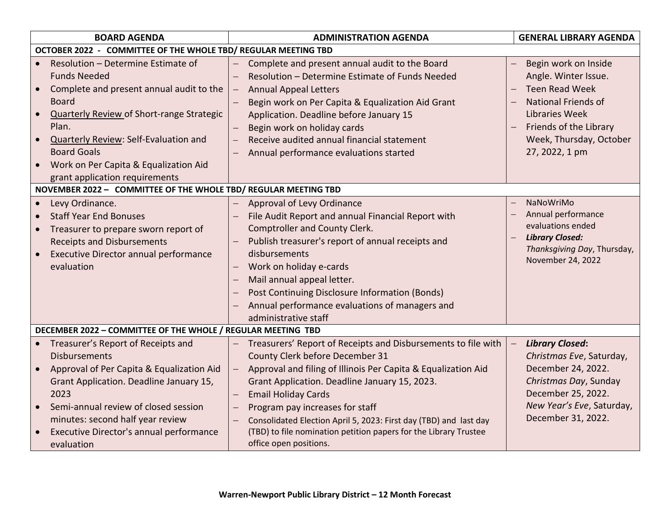| <b>BOARD AGENDA</b>                                                                                                                                                                                                                                                                                                                                           | <b>ADMINISTRATION AGENDA</b>                                                                                                                                                                                                                                                                                                                                                                                                 | <b>GENERAL LIBRARY AGENDA</b>                                                                                                                                                                       |  |  |  |
|---------------------------------------------------------------------------------------------------------------------------------------------------------------------------------------------------------------------------------------------------------------------------------------------------------------------------------------------------------------|------------------------------------------------------------------------------------------------------------------------------------------------------------------------------------------------------------------------------------------------------------------------------------------------------------------------------------------------------------------------------------------------------------------------------|-----------------------------------------------------------------------------------------------------------------------------------------------------------------------------------------------------|--|--|--|
| OCTOBER 2022 - COMMITTEE OF THE WHOLE TBD/ REGULAR MEETING TBD                                                                                                                                                                                                                                                                                                |                                                                                                                                                                                                                                                                                                                                                                                                                              |                                                                                                                                                                                                     |  |  |  |
| Resolution - Determine Estimate of<br><b>Funds Needed</b><br>Complete and present annual audit to the<br><b>Board</b><br><b>Quarterly Review of Short-range Strategic</b><br>$\bullet$<br>Plan.<br><b>Quarterly Review: Self-Evaluation and</b><br>$\bullet$<br><b>Board Goals</b><br>Work on Per Capita & Equalization Aid<br>grant application requirements | Complete and present annual audit to the Board<br>Resolution - Determine Estimate of Funds Needed<br><b>Annual Appeal Letters</b><br>Begin work on Per Capita & Equalization Aid Grant<br>Application. Deadline before January 15<br>Begin work on holiday cards<br>Receive audited annual financial statement<br>Annual performance evaluations started                                                                     | Begin work on Inside<br>Angle. Winter Issue.<br><b>Teen Read Week</b><br><b>National Friends of</b><br><b>Libraries Week</b><br>Friends of the Library<br>Week, Thursday, October<br>27, 2022, 1 pm |  |  |  |
| NOVEMBER 2022 - COMMITTEE OF THE WHOLE TBD/ REGULAR MEETING TBD                                                                                                                                                                                                                                                                                               |                                                                                                                                                                                                                                                                                                                                                                                                                              |                                                                                                                                                                                                     |  |  |  |
| Levy Ordinance.<br>$\bullet$<br><b>Staff Year End Bonuses</b><br>Treasurer to prepare sworn report of<br>$\bullet$<br><b>Receipts and Disbursements</b><br>Executive Director annual performance<br>evaluation                                                                                                                                                | Approval of Levy Ordinance<br>File Audit Report and annual Financial Report with<br>Comptroller and County Clerk.<br>Publish treasurer's report of annual receipts and<br>$\overline{\phantom{0}}$<br>disbursements<br>Work on holiday e-cards<br>Mail annual appeal letter.<br>Post Continuing Disclosure Information (Bonds)<br>Annual performance evaluations of managers and<br>administrative staff                     | NaNoWriMo<br>Annual performance<br>evaluations ended<br><b>Library Closed:</b><br>Thanksgiving Day, Thursday,<br>November 24, 2022                                                                  |  |  |  |
| DECEMBER 2022 - COMMITTEE OF THE WHOLE / REGULAR MEETING TBD                                                                                                                                                                                                                                                                                                  |                                                                                                                                                                                                                                                                                                                                                                                                                              |                                                                                                                                                                                                     |  |  |  |
| • Treasurer's Report of Receipts and<br><b>Disbursements</b><br>Approval of Per Capita & Equalization Aid<br>Grant Application. Deadline January 15,<br>2023<br>Semi-annual review of closed session<br>minutes: second half year review<br>Executive Director's annual performance<br>$\bullet$                                                              | Treasurers' Report of Receipts and Disbursements to file with<br>County Clerk before December 31<br>Approval and filing of Illinois Per Capita & Equalization Aid<br>Grant Application. Deadline January 15, 2023.<br><b>Email Holiday Cards</b><br>Program pay increases for staff<br>Consolidated Election April 5, 2023: First day (TBD) and last day<br>(TBD) to file nomination petition papers for the Library Trustee | <b>Library Closed:</b><br>Christmas Eve, Saturday,<br>December 24, 2022.<br>Christmas Day, Sunday<br>December 25, 2022.<br>New Year's Eve, Saturday,<br>December 31, 2022.                          |  |  |  |
| evaluation                                                                                                                                                                                                                                                                                                                                                    | office open positions.                                                                                                                                                                                                                                                                                                                                                                                                       |                                                                                                                                                                                                     |  |  |  |